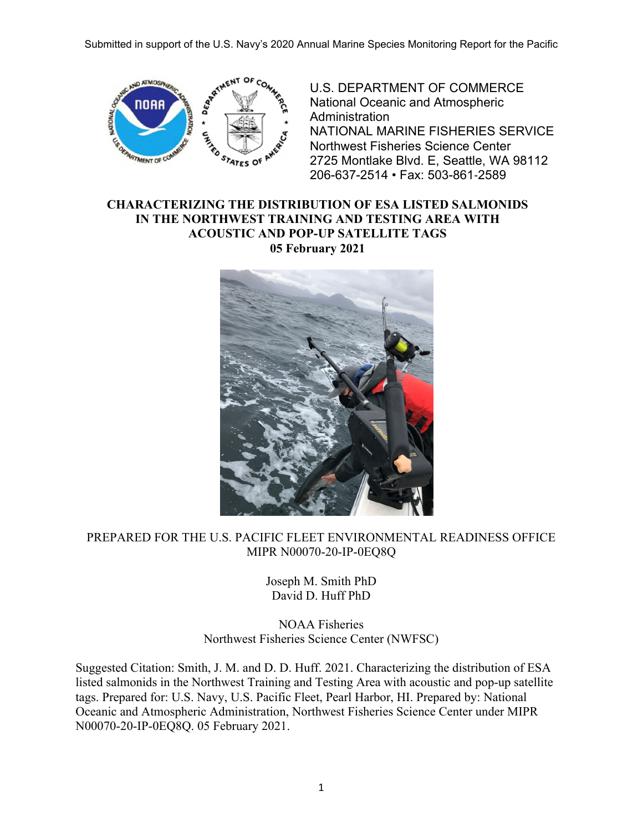

U.S. DEPARTMENT OF COMMERCE National Oceanic and Atmospheric **Administration** NATIONAL MARINE FISHERIES SERVICE Northwest Fisheries Science Center 2725 Montlake Blvd. E, Seattle, WA 98112 206-637-2514 • Fax: 503-861-2589

### **CHARACTERIZING THE DISTRIBUTION OF ESA LISTED SALMONIDS IN THE NORTHWEST TRAINING AND TESTING AREA WITH ACOUSTIC AND POP-UP SATELLITE TAGS 05 February 2021**



## PREPARED FOR THE U.S. PACIFIC FLEET ENVIRONMENTAL READINESS OFFICE MIPR N00070-20-IP-0EQ8Q

Joseph M. Smith PhD David D. Huff PhD

NOAA Fisheries Northwest Fisheries Science Center (NWFSC)

Suggested Citation: Smith, J. M. and D. D. Huff. 2021. Characterizing the distribution of ESA listed salmonids in the Northwest Training and Testing Area with acoustic and pop-up satellite tags. Prepared for: U.S. Navy, U.S. Pacific Fleet, Pearl Harbor, HI. Prepared by: National Oceanic and Atmospheric Administration, Northwest Fisheries Science Center under MIPR N00070-20-IP-0EQ8Q. 05 February 2021.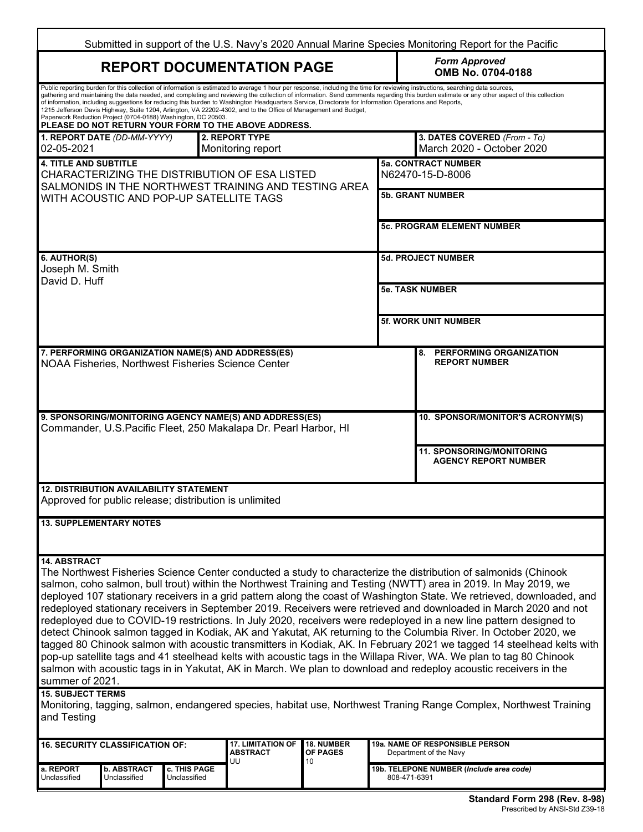| Submitted in support of the U.S. Navy's 2020 Annual Marine Species Monitoring Report for the Pacific                                                                                                                                                                                                                                                                                                                                                                                                                                                                                                                                                                                                                                                                                                                                                                                                                                                                                                                                                                                                                                                                                                                                                                                                    |                                        |                                                                                                          |                                                                                                                                                                                                                                                                                                                                   |                                           |                             |                                                                                                                                                                                                                                                                                                                                                                              |  |  |
|---------------------------------------------------------------------------------------------------------------------------------------------------------------------------------------------------------------------------------------------------------------------------------------------------------------------------------------------------------------------------------------------------------------------------------------------------------------------------------------------------------------------------------------------------------------------------------------------------------------------------------------------------------------------------------------------------------------------------------------------------------------------------------------------------------------------------------------------------------------------------------------------------------------------------------------------------------------------------------------------------------------------------------------------------------------------------------------------------------------------------------------------------------------------------------------------------------------------------------------------------------------------------------------------------------|----------------------------------------|----------------------------------------------------------------------------------------------------------|-----------------------------------------------------------------------------------------------------------------------------------------------------------------------------------------------------------------------------------------------------------------------------------------------------------------------------------|-------------------------------------------|-----------------------------|------------------------------------------------------------------------------------------------------------------------------------------------------------------------------------------------------------------------------------------------------------------------------------------------------------------------------------------------------------------------------|--|--|
|                                                                                                                                                                                                                                                                                                                                                                                                                                                                                                                                                                                                                                                                                                                                                                                                                                                                                                                                                                                                                                                                                                                                                                                                                                                                                                         |                                        | <b>REPORT DOCUMENTATION PAGE</b>                                                                         |                                                                                                                                                                                                                                                                                                                                   | <b>Form Approved</b><br>OMB No. 0704-0188 |                             |                                                                                                                                                                                                                                                                                                                                                                              |  |  |
|                                                                                                                                                                                                                                                                                                                                                                                                                                                                                                                                                                                                                                                                                                                                                                                                                                                                                                                                                                                                                                                                                                                                                                                                                                                                                                         |                                        | Paperwork Reduction Project (0704-0188) Washington, DC 20503.                                            | of information, including suggestions for reducing this burden to Washington Headquarters Service, Directorate for Information Operations and Reports,<br>1215 Jefferson Davis Highway, Suite 1204, Arlington, VA 22202-4302, and to the Office of Management and Budget,<br>PLEASE DO NOT RETURN YOUR FORM TO THE ABOVE ADDRESS. |                                           |                             | Public reporting burden for this collection of information is estimated to average 1 hour per response, including the time for reviewing instructions, searching data sources,<br>gathering and maintaining the data needed, and completing and reviewing the collection of information. Send comments regarding this burden estimate or any other aspect of this collection |  |  |
| 02-05-2021                                                                                                                                                                                                                                                                                                                                                                                                                                                                                                                                                                                                                                                                                                                                                                                                                                                                                                                                                                                                                                                                                                                                                                                                                                                                                              | 1. REPORT DATE (DD-MM-YYYY)            |                                                                                                          | 2. REPORT TYPE<br>Monitoring report                                                                                                                                                                                                                                                                                               |                                           |                             | 3. DATES COVERED (From - To)<br>March 2020 - October 2020                                                                                                                                                                                                                                                                                                                    |  |  |
| <b>4. TITLE AND SUBTITLE</b><br>CHARACTERIZING THE DISTRIBUTION OF ESA LISTED<br>SALMONIDS IN THE NORTHWEST TRAINING AND TESTING AREA                                                                                                                                                                                                                                                                                                                                                                                                                                                                                                                                                                                                                                                                                                                                                                                                                                                                                                                                                                                                                                                                                                                                                                   |                                        |                                                                                                          |                                                                                                                                                                                                                                                                                                                                   |                                           |                             | <b>5a. CONTRACT NUMBER</b><br>N62470-15-D-8006                                                                                                                                                                                                                                                                                                                               |  |  |
|                                                                                                                                                                                                                                                                                                                                                                                                                                                                                                                                                                                                                                                                                                                                                                                                                                                                                                                                                                                                                                                                                                                                                                                                                                                                                                         |                                        | WITH ACOUSTIC AND POP-UP SATELLITE TAGS                                                                  |                                                                                                                                                                                                                                                                                                                                   |                                           |                             | <b>5b. GRANT NUMBER</b>                                                                                                                                                                                                                                                                                                                                                      |  |  |
|                                                                                                                                                                                                                                                                                                                                                                                                                                                                                                                                                                                                                                                                                                                                                                                                                                                                                                                                                                                                                                                                                                                                                                                                                                                                                                         |                                        |                                                                                                          |                                                                                                                                                                                                                                                                                                                                   |                                           |                             | <b>5c. PROGRAM ELEMENT NUMBER</b>                                                                                                                                                                                                                                                                                                                                            |  |  |
| 6. AUTHOR(S)<br>Joseph M. Smith                                                                                                                                                                                                                                                                                                                                                                                                                                                                                                                                                                                                                                                                                                                                                                                                                                                                                                                                                                                                                                                                                                                                                                                                                                                                         |                                        |                                                                                                          |                                                                                                                                                                                                                                                                                                                                   |                                           |                             | <b>5d. PROJECT NUMBER</b>                                                                                                                                                                                                                                                                                                                                                    |  |  |
| David D. Huff                                                                                                                                                                                                                                                                                                                                                                                                                                                                                                                                                                                                                                                                                                                                                                                                                                                                                                                                                                                                                                                                                                                                                                                                                                                                                           |                                        |                                                                                                          |                                                                                                                                                                                                                                                                                                                                   |                                           |                             | <b>5e. TASK NUMBER</b>                                                                                                                                                                                                                                                                                                                                                       |  |  |
|                                                                                                                                                                                                                                                                                                                                                                                                                                                                                                                                                                                                                                                                                                                                                                                                                                                                                                                                                                                                                                                                                                                                                                                                                                                                                                         |                                        |                                                                                                          |                                                                                                                                                                                                                                                                                                                                   |                                           | <b>5f. WORK UNIT NUMBER</b> |                                                                                                                                                                                                                                                                                                                                                                              |  |  |
| 7. PERFORMING ORGANIZATION NAME(S) AND ADDRESS(ES)<br>8. PERFORMING ORGANIZATION<br><b>REPORT NUMBER</b><br>NOAA Fisheries, Northwest Fisheries Science Center                                                                                                                                                                                                                                                                                                                                                                                                                                                                                                                                                                                                                                                                                                                                                                                                                                                                                                                                                                                                                                                                                                                                          |                                        |                                                                                                          |                                                                                                                                                                                                                                                                                                                                   |                                           |                             |                                                                                                                                                                                                                                                                                                                                                                              |  |  |
|                                                                                                                                                                                                                                                                                                                                                                                                                                                                                                                                                                                                                                                                                                                                                                                                                                                                                                                                                                                                                                                                                                                                                                                                                                                                                                         |                                        |                                                                                                          | 9. SPONSORING/MONITORING AGENCY NAME(S) AND ADDRESS(ES)<br>Commander, U.S.Pacific Fleet, 250 Makalapa Dr. Pearl Harbor, HI                                                                                                                                                                                                        |                                           |                             | 10. SPONSOR/MONITOR'S ACRONYM(S)                                                                                                                                                                                                                                                                                                                                             |  |  |
|                                                                                                                                                                                                                                                                                                                                                                                                                                                                                                                                                                                                                                                                                                                                                                                                                                                                                                                                                                                                                                                                                                                                                                                                                                                                                                         |                                        |                                                                                                          |                                                                                                                                                                                                                                                                                                                                   |                                           |                             | <b>11. SPONSORING/MONITORING</b><br><b>AGENCY REPORT NUMBER</b>                                                                                                                                                                                                                                                                                                              |  |  |
|                                                                                                                                                                                                                                                                                                                                                                                                                                                                                                                                                                                                                                                                                                                                                                                                                                                                                                                                                                                                                                                                                                                                                                                                                                                                                                         |                                        | <b>12. DISTRIBUTION AVAILABILITY STATEMENT</b><br>Approved for public release; distribution is unlimited |                                                                                                                                                                                                                                                                                                                                   |                                           |                             |                                                                                                                                                                                                                                                                                                                                                                              |  |  |
|                                                                                                                                                                                                                                                                                                                                                                                                                                                                                                                                                                                                                                                                                                                                                                                                                                                                                                                                                                                                                                                                                                                                                                                                                                                                                                         | <b>13. SUPPLEMENTARY NOTES</b>         |                                                                                                          |                                                                                                                                                                                                                                                                                                                                   |                                           |                             |                                                                                                                                                                                                                                                                                                                                                                              |  |  |
| <b>14. ABSTRACT</b><br>The Northwest Fisheries Science Center conducted a study to characterize the distribution of salmonids (Chinook<br>salmon, coho salmon, bull trout) within the Northwest Training and Testing (NWTT) area in 2019. In May 2019, we<br>deployed 107 stationary receivers in a grid pattern along the coast of Washington State. We retrieved, downloaded, and<br>redeployed stationary receivers in September 2019. Receivers were retrieved and downloaded in March 2020 and not<br>redeployed due to COVID-19 restrictions. In July 2020, receivers were redeployed in a new line pattern designed to<br>detect Chinook salmon tagged in Kodiak, AK and Yakutat, AK returning to the Columbia River. In October 2020, we<br>tagged 80 Chinook salmon with acoustic transmitters in Kodiak, AK. In February 2021 we tagged 14 steelhead kelts with<br>pop-up satellite tags and 41 steelhead kelts with acoustic tags in the Willapa River, WA. We plan to tag 80 Chinook<br>salmon with acoustic tags in in Yakutat, AK in March. We plan to download and redeploy acoustic receivers in the<br>summer of 2021.<br><b>15. SUBJECT TERMS</b><br>Monitoring, tagging, salmon, endangered species, habitat use, Northwest Traning Range Complex, Northwest Training<br>and Testing |                                        |                                                                                                          |                                                                                                                                                                                                                                                                                                                                   |                                           |                             |                                                                                                                                                                                                                                                                                                                                                                              |  |  |
|                                                                                                                                                                                                                                                                                                                                                                                                                                                                                                                                                                                                                                                                                                                                                                                                                                                                                                                                                                                                                                                                                                                                                                                                                                                                                                         | <b>16. SECURITY CLASSIFICATION OF:</b> |                                                                                                          | <b>17. LIMITATION OF</b><br><b>ABSTRACT</b>                                                                                                                                                                                                                                                                                       | 18. NUMBER<br><b>OF PAGES</b>             |                             | <b>19a. NAME OF RESPONSIBLE PERSON</b><br>Department of the Navy                                                                                                                                                                                                                                                                                                             |  |  |
| a. REPORT<br>Unclassified                                                                                                                                                                                                                                                                                                                                                                                                                                                                                                                                                                                                                                                                                                                                                                                                                                                                                                                                                                                                                                                                                                                                                                                                                                                                               | <b>b. ABSTRACT</b><br>Unclassified     | c. THIS PAGE<br>Unclassified                                                                             | UU                                                                                                                                                                                                                                                                                                                                | 10                                        | 808-471-6391                | 19b. TELEPONE NUMBER (Include area code)                                                                                                                                                                                                                                                                                                                                     |  |  |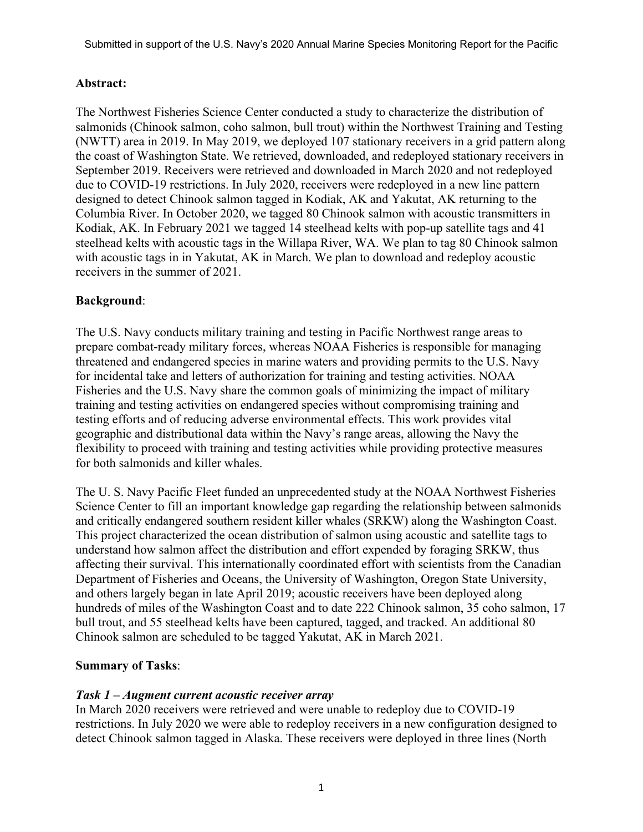### **Abstract:**

The Northwest Fisheries Science Center conducted a study to characterize the distribution of salmonids (Chinook salmon, coho salmon, bull trout) within the Northwest Training and Testing (NWTT) area in 2019. In May 2019, we deployed 107 stationary receivers in a grid pattern along the coast of Washington State. We retrieved, downloaded, and redeployed stationary receivers in September 2019. Receivers were retrieved and downloaded in March 2020 and not redeployed due to COVID-19 restrictions. In July 2020, receivers were redeployed in a new line pattern designed to detect Chinook salmon tagged in Kodiak, AK and Yakutat, AK returning to the Columbia River. In October 2020, we tagged 80 Chinook salmon with acoustic transmitters in Kodiak, AK. In February 2021 we tagged 14 steelhead kelts with pop-up satellite tags and 41 steelhead kelts with acoustic tags in the Willapa River, WA. We plan to tag 80 Chinook salmon with acoustic tags in in Yakutat, AK in March. We plan to download and redeploy acoustic receivers in the summer of 2021.

#### **Background**:

The U.S. Navy conducts military training and testing in Pacific Northwest range areas to prepare combat-ready military forces, whereas NOAA Fisheries is responsible for managing threatened and endangered species in marine waters and providing permits to the U.S. Navy for incidental take and letters of authorization for training and testing activities. NOAA Fisheries and the U.S. Navy share the common goals of minimizing the impact of military training and testing activities on endangered species without compromising training and testing efforts and of reducing adverse environmental effects. This work provides vital geographic and distributional data within the Navy's range areas, allowing the Navy the flexibility to proceed with training and testing activities while providing protective measures for both salmonids and killer whales.

The U. S. Navy Pacific Fleet funded an unprecedented study at the NOAA Northwest Fisheries Science Center to fill an important knowledge gap regarding the relationship between salmonids and critically endangered southern resident killer whales (SRKW) along the Washington Coast. This project characterized the ocean distribution of salmon using acoustic and satellite tags to understand how salmon affect the distribution and effort expended by foraging SRKW, thus affecting their survival. This internationally coordinated effort with scientists from the Canadian Department of Fisheries and Oceans, the University of Washington, Oregon State University, and others largely began in late April 2019; acoustic receivers have been deployed along hundreds of miles of the Washington Coast and to date 222 Chinook salmon, 35 coho salmon, 17 bull trout, and 55 steelhead kelts have been captured, tagged, and tracked. An additional 80 Chinook salmon are scheduled to be tagged Yakutat, AK in March 2021.

#### **Summary of Tasks**:

#### *Task 1 – Augment current acoustic receiver array*

In March 2020 receivers were retrieved and were unable to redeploy due to COVID-19 restrictions. In July 2020 we were able to redeploy receivers in a new configuration designed to detect Chinook salmon tagged in Alaska. These receivers were deployed in three lines (North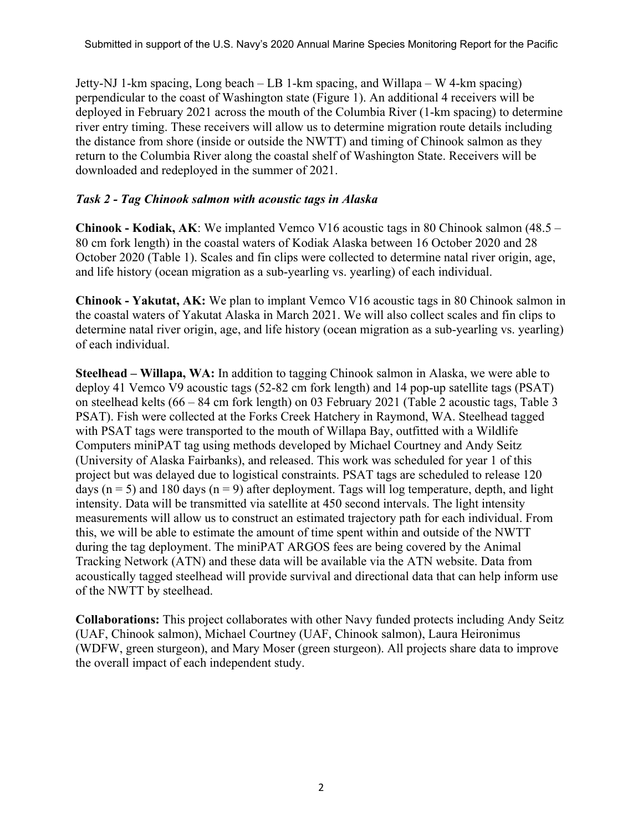Jetty-NJ 1-km spacing, Long beach – LB 1-km spacing, and Willapa – W 4-km spacing) perpendicular to the coast of Washington state (Figure 1). An additional 4 receivers will be deployed in February 2021 across the mouth of the Columbia River (1-km spacing) to determine river entry timing. These receivers will allow us to determine migration route details including the distance from shore (inside or outside the NWTT) and timing of Chinook salmon as they return to the Columbia River along the coastal shelf of Washington State. Receivers will be downloaded and redeployed in the summer of 2021.

# *Task 2 - Tag Chinook salmon with acoustic tags in Alaska*

**Chinook - Kodiak, AK**: We implanted Vemco V16 acoustic tags in 80 Chinook salmon (48.5 – 80 cm fork length) in the coastal waters of Kodiak Alaska between 16 October 2020 and 28 October 2020 (Table 1). Scales and fin clips were collected to determine natal river origin, age, and life history (ocean migration as a sub-yearling vs. yearling) of each individual.

**Chinook - Yakutat, AK:** We plan to implant Vemco V16 acoustic tags in 80 Chinook salmon in the coastal waters of Yakutat Alaska in March 2021. We will also collect scales and fin clips to determine natal river origin, age, and life history (ocean migration as a sub-yearling vs. yearling) of each individual.

**Steelhead – Willapa, WA:** In addition to tagging Chinook salmon in Alaska, we were able to deploy 41 Vemco V9 acoustic tags (52-82 cm fork length) and 14 pop-up satellite tags (PSAT) on steelhead kelts (66 – 84 cm fork length) on 03 February 2021 (Table 2 acoustic tags, Table 3 PSAT). Fish were collected at the Forks Creek Hatchery in Raymond, WA. Steelhead tagged with PSAT tags were transported to the mouth of Willapa Bay, outfitted with a Wildlife Computers miniPAT tag using methods developed by Michael Courtney and Andy Seitz (University of Alaska Fairbanks), and released. This work was scheduled for year 1 of this project but was delayed due to logistical constraints. PSAT tags are scheduled to release 120 days ( $n = 5$ ) and 180 days ( $n = 9$ ) after deployment. Tags will log temperature, depth, and light intensity. Data will be transmitted via satellite at 450 second intervals. The light intensity measurements will allow us to construct an estimated trajectory path for each individual. From this, we will be able to estimate the amount of time spent within and outside of the NWTT during the tag deployment. The miniPAT ARGOS fees are being covered by the Animal Tracking Network (ATN) and these data will be available via the ATN website. Data from acoustically tagged steelhead will provide survival and directional data that can help inform use of the NWTT by steelhead.

**Collaborations:** This project collaborates with other Navy funded protects including Andy Seitz (UAF, Chinook salmon), Michael Courtney (UAF, Chinook salmon), Laura Heironimus (WDFW, green sturgeon), and Mary Moser (green sturgeon). All projects share data to improve the overall impact of each independent study.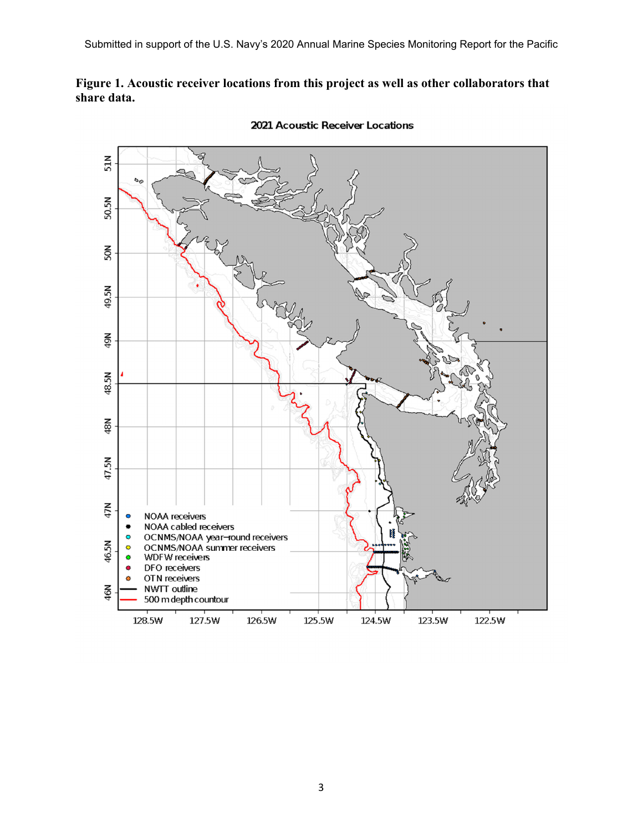## **Figure 1. Acoustic receiver locations from this project as well as other collaborators that share data.**



2021 Acoustic Receiver Locations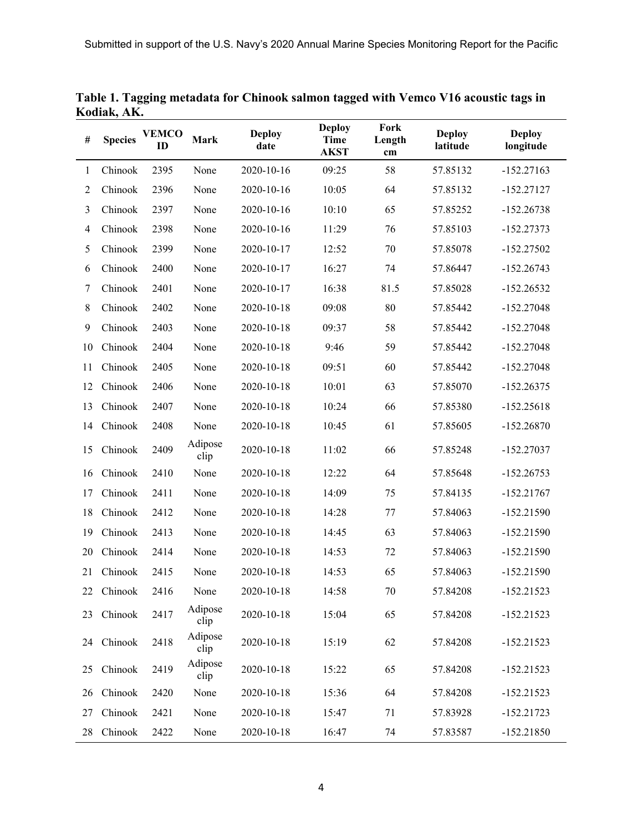| #              | <b>Species</b> | <b>VEMCO</b><br>ID | <b>Mark</b>     | <b>Deploy</b><br>date | <b>Deploy</b><br><b>Time</b><br><b>AKST</b> | Fork<br>Length<br>cm | <b>Deploy</b><br>latitude | <b>Deploy</b><br>longitude |
|----------------|----------------|--------------------|-----------------|-----------------------|---------------------------------------------|----------------------|---------------------------|----------------------------|
| 1              | Chinook        | 2395               | None            | 2020-10-16            | 09:25                                       | 58                   | 57.85132                  | $-152.27163$               |
| $\overline{c}$ | Chinook        | 2396               | None            | 2020-10-16            | 10:05                                       | 64                   | 57.85132                  | $-152.27127$               |
| 3              | Chinook        | 2397               | None            | 2020-10-16            | 10:10                                       | 65                   | 57.85252                  | $-152.26738$               |
| 4              | Chinook        | 2398               | None            | 2020-10-16            | 11:29                                       | 76                   | 57.85103                  | $-152.27373$               |
| 5              | Chinook        | 2399               | None            | 2020-10-17            | 12:52                                       | 70                   | 57.85078                  | $-152.27502$               |
| 6              | Chinook        | 2400               | None            | 2020-10-17            | 16:27                                       | 74                   | 57.86447                  | $-152.26743$               |
| 7              | Chinook        | 2401               | None            | 2020-10-17            | 16:38                                       | 81.5                 | 57.85028                  | $-152.26532$               |
| 8              | Chinook        | 2402               | None            | 2020-10-18            | 09:08                                       | 80                   | 57.85442                  | $-152.27048$               |
| 9              | Chinook        | 2403               | None            | 2020-10-18            | 09:37                                       | 58                   | 57.85442                  | $-152.27048$               |
| 10             | Chinook        | 2404               | None            | 2020-10-18            | 9:46                                        | 59                   | 57.85442                  | $-152.27048$               |
| 11             | Chinook        | 2405               | None            | 2020-10-18            | 09:51                                       | 60                   | 57.85442                  | $-152.27048$               |
| 12             | Chinook        | 2406               | None            | 2020-10-18            | 10:01                                       | 63                   | 57.85070                  | $-152.26375$               |
| 13             | Chinook        | 2407               | None            | 2020-10-18            | 10:24                                       | 66                   | 57.85380                  | $-152.25618$               |
| 14             | Chinook        | 2408               | None            | 2020-10-18            | 10:45                                       | 61                   | 57.85605                  | $-152.26870$               |
| 15             | Chinook        | 2409               | Adipose<br>clip | 2020-10-18            | 11:02                                       | 66                   | 57.85248                  | $-152.27037$               |
| 16             | Chinook        | 2410               | None            | 2020-10-18            | 12:22                                       | 64                   | 57.85648                  | $-152.26753$               |
| 17             | Chinook        | 2411               | None            | 2020-10-18            | 14:09                                       | 75                   | 57.84135                  | $-152.21767$               |
| 18             | Chinook        | 2412               | None            | 2020-10-18            | 14:28                                       | 77                   | 57.84063                  | $-152.21590$               |
| 19             | Chinook        | 2413               | None            | 2020-10-18            | 14:45                                       | 63                   | 57.84063                  | $-152.21590$               |
| 20             | Chinook        | 2414               | None            | 2020-10-18            | 14:53                                       | 72                   | 57.84063                  | $-152.21590$               |
| 21             | Chinook        | 2415               | None            | 2020-10-18            | 14:53                                       | 65                   | 57.84063                  | $-152.21590$               |
|                | 22 Chinook     | 2416               | None            | 2020-10-18            | 14:58                                       | $70\,$               | 57.84208                  | $-152.21523$               |
| 23             | Chinook        | 2417               | Adipose<br>clip | 2020-10-18            | 15:04                                       | 65                   | 57.84208                  | $-152.21523$               |
| 24             | Chinook        | 2418               | Adipose<br>clip | 2020-10-18            | 15:19                                       | 62                   | 57.84208                  | $-152.21523$               |
| 25             | Chinook        | 2419               | Adipose<br>clip | 2020-10-18            | 15:22                                       | 65                   | 57.84208                  | $-152.21523$               |
| 26             | Chinook        | 2420               | None            | 2020-10-18            | 15:36                                       | 64                   | 57.84208                  | $-152.21523$               |
| 27             | Chinook        | 2421               | None            | 2020-10-18            | 15:47                                       | 71                   | 57.83928                  | $-152.21723$               |
| 28             | Chinook        | 2422               | None            | 2020-10-18            | 16:47                                       | 74                   | 57.83587                  | $-152.21850$               |

**Table 1. Tagging metadata for Chinook salmon tagged with Vemco V16 acoustic tags in Kodiak, AK.**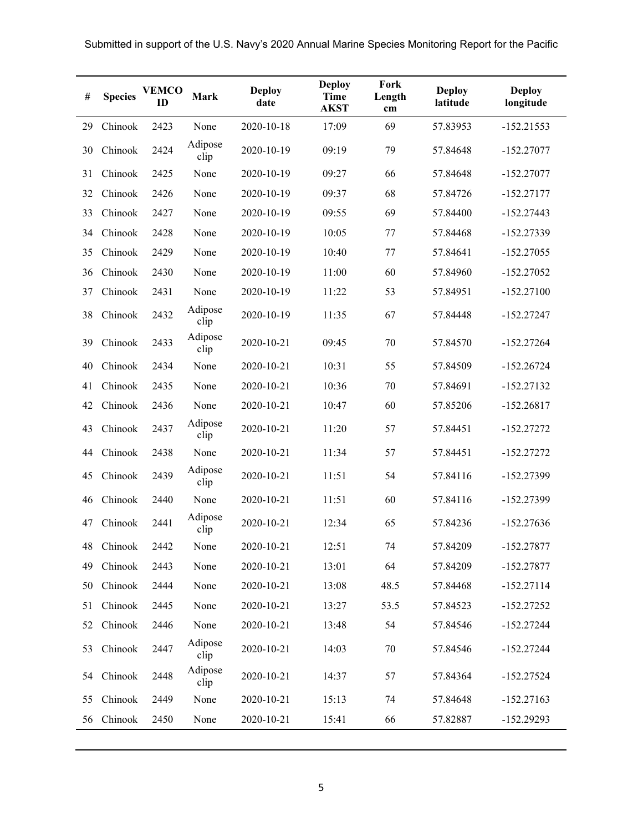| $\#$ | <b>Species</b> | <b>VEMCO</b><br>ID | <b>Mark</b>     | <b>Deploy</b><br>date | <b>Deploy</b><br><b>Time</b><br><b>AKST</b> | Fork<br>Length<br>cm | <b>Deploy</b><br>latitude | <b>Deploy</b><br>longitude |
|------|----------------|--------------------|-----------------|-----------------------|---------------------------------------------|----------------------|---------------------------|----------------------------|
| 29   | Chinook        | 2423               | None            | 2020-10-18            | 17:09                                       | 69                   | 57.83953                  | $-152.21553$               |
| 30   | Chinook        | 2424               | Adipose<br>clip | 2020-10-19            | 09:19                                       | 79                   | 57.84648                  | $-152.27077$               |
| 31   | Chinook        | 2425               | None            | 2020-10-19            | 09:27                                       | 66                   | 57.84648                  | $-152.27077$               |
| 32   | Chinook        | 2426               | None            | 2020-10-19            | 09:37                                       | 68                   | 57.84726                  | $-152.27177$               |
| 33   | Chinook        | 2427               | None            | 2020-10-19            | 09:55                                       | 69                   | 57.84400                  | $-152.27443$               |
| 34   | Chinook        | 2428               | None            | 2020-10-19            | 10:05                                       | 77                   | 57.84468                  | -152.27339                 |
| 35   | Chinook        | 2429               | None            | 2020-10-19            | 10:40                                       | 77                   | 57.84641                  | $-152.27055$               |
| 36   | Chinook        | 2430               | None            | 2020-10-19            | 11:00                                       | 60                   | 57.84960                  | $-152.27052$               |
| 37   | Chinook        | 2431               | None            | 2020-10-19            | 11:22                                       | 53                   | 57.84951                  | $-152.27100$               |
| 38   | Chinook        | 2432               | Adipose<br>clip | 2020-10-19            | 11:35                                       | 67                   | 57.84448                  | $-152.27247$               |
| 39   | Chinook        | 2433               | Adipose<br>clip | 2020-10-21            | 09:45                                       | 70                   | 57.84570                  | $-152.27264$               |
| 40   | Chinook        | 2434               | None            | 2020-10-21            | 10:31                                       | 55                   | 57.84509                  | $-152.26724$               |
| 41   | Chinook        | 2435               | None            | 2020-10-21            | 10:36                                       | 70                   | 57.84691                  | $-152.27132$               |
| 42   | Chinook        | 2436               | None            | 2020-10-21            | 10:47                                       | 60                   | 57.85206                  | $-152.26817$               |
| 43   | Chinook        | 2437               | Adipose<br>clip | 2020-10-21            | 11:20                                       | 57                   | 57.84451                  | $-152.27272$               |
| 44   | Chinook        | 2438               | None            | 2020-10-21            | 11:34                                       | 57                   | 57.84451                  | $-152.27272$               |
| 45   | Chinook        | 2439               | Adipose<br>clip | 2020-10-21            | 11:51                                       | 54                   | 57.84116                  | -152.27399                 |
| 46   | Chinook        | 2440               | None            | 2020-10-21            | 11:51                                       | 60                   | 57.84116                  | -152.27399                 |
| 47   | Chinook        | 2441               | Adipose<br>clip | 2020-10-21            | 12:34                                       | 65                   | 57.84236                  | $-152.27636$               |
| 48   | Chinook        | 2442               | None            | 2020-10-21            | 12:51                                       | 74                   | 57.84209                  | $-152.27877$               |
| 49   | Chinook        | 2443               | None            | 2020-10-21            | 13:01                                       | 64                   | 57.84209                  | $-152.27877$               |
| 50   | Chinook        | 2444               | None            | 2020-10-21            | 13:08                                       | 48.5                 | 57.84468                  | $-152.27114$               |
| 51   | Chinook        | 2445               | None            | 2020-10-21            | 13:27                                       | 53.5                 | 57.84523                  | $-152.27252$               |
| 52   | Chinook        | 2446               | None            | 2020-10-21            | 13:48                                       | 54                   | 57.84546                  | $-152.27244$               |
| 53   | Chinook        | 2447               | Adipose<br>clip | 2020-10-21            | 14:03                                       | 70                   | 57.84546                  | $-152.27244$               |
| 54   | Chinook        | 2448               | Adipose<br>clip | 2020-10-21            | 14:37                                       | 57                   | 57.84364                  | $-152.27524$               |
| 55   | Chinook        | 2449               | None            | 2020-10-21            | 15:13                                       | 74                   | 57.84648                  | $-152.27163$               |
| 56   | Chinook        | 2450               | None            | 2020-10-21            | 15:41                                       | 66                   | 57.82887                  | $-152.29293$               |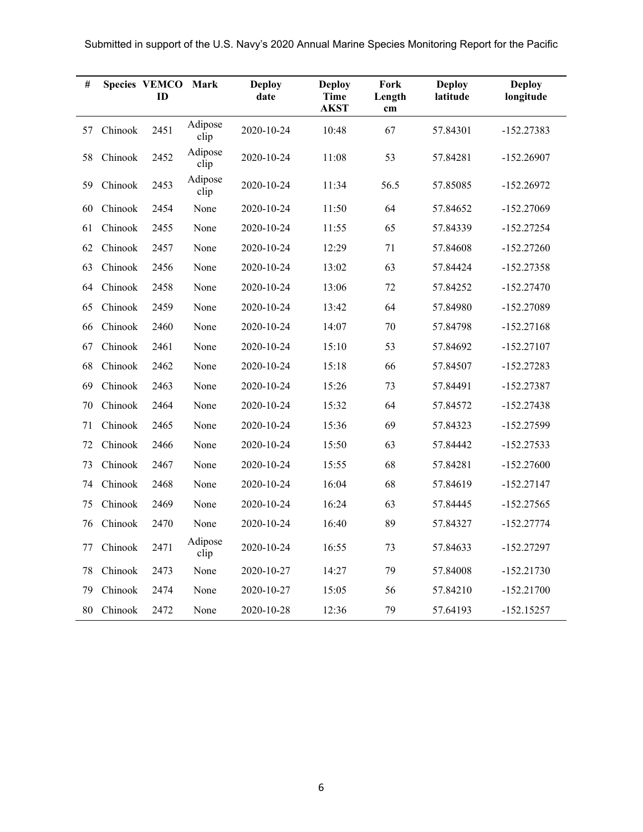| #  |         | <b>Species VEMCO</b><br>ID | Mark            | <b>Deploy</b><br>date | <b>Deploy</b><br>Time<br><b>AKST</b> | Fork<br>Length<br>cm | <b>Deploy</b><br>latitude | <b>Deploy</b><br>longitude |
|----|---------|----------------------------|-----------------|-----------------------|--------------------------------------|----------------------|---------------------------|----------------------------|
| 57 | Chinook | 2451                       | Adipose<br>clip | 2020-10-24            | 10:48                                | 67                   | 57.84301                  | $-152.27383$               |
| 58 | Chinook | 2452                       | Adipose<br>clip | 2020-10-24            | 11:08                                | 53                   | 57.84281                  | $-152.26907$               |
| 59 | Chinook | 2453                       | Adipose<br>clip | 2020-10-24            | 11:34                                | 56.5                 | 57.85085                  | $-152.26972$               |
| 60 | Chinook | 2454                       | None            | 2020-10-24            | 11:50                                | 64                   | 57.84652                  | $-152.27069$               |
| 61 | Chinook | 2455                       | None            | 2020-10-24            | 11:55                                | 65                   | 57.84339                  | $-152.27254$               |
| 62 | Chinook | 2457                       | None            | 2020-10-24            | 12:29                                | 71                   | 57.84608                  | $-152.27260$               |
| 63 | Chinook | 2456                       | None            | 2020-10-24            | 13:02                                | 63                   | 57.84424                  | $-152.27358$               |
| 64 | Chinook | 2458                       | None            | 2020-10-24            | 13:06                                | 72                   | 57.84252                  | $-152.27470$               |
| 65 | Chinook | 2459                       | None            | 2020-10-24            | 13:42                                | 64                   | 57.84980                  | $-152.27089$               |
| 66 | Chinook | 2460                       | None            | 2020-10-24            | 14:07                                | 70                   | 57.84798                  | $-152.27168$               |
| 67 | Chinook | 2461                       | None            | 2020-10-24            | 15:10                                | 53                   | 57.84692                  | $-152.27107$               |
| 68 | Chinook | 2462                       | None            | 2020-10-24            | 15:18                                | 66                   | 57.84507                  | $-152.27283$               |
| 69 | Chinook | 2463                       | None            | 2020-10-24            | 15:26                                | 73                   | 57.84491                  | $-152.27387$               |
| 70 | Chinook | 2464                       | None            | 2020-10-24            | 15:32                                | 64                   | 57.84572                  | $-152.27438$               |
| 71 | Chinook | 2465                       | None            | 2020-10-24            | 15:36                                | 69                   | 57.84323                  | $-152.27599$               |
| 72 | Chinook | 2466                       | None            | 2020-10-24            | 15:50                                | 63                   | 57.84442                  | $-152.27533$               |
| 73 | Chinook | 2467                       | None            | 2020-10-24            | 15:55                                | 68                   | 57.84281                  | $-152.27600$               |
| 74 | Chinook | 2468                       | None            | 2020-10-24            | 16:04                                | 68                   | 57.84619                  | $-152.27147$               |
| 75 | Chinook | 2469                       | None            | 2020-10-24            | 16:24                                | 63                   | 57.84445                  | $-152.27565$               |
| 76 | Chinook | 2470                       | None            | 2020-10-24            | 16:40                                | 89                   | 57.84327                  | $-152.27774$               |
| 77 | Chinook | 2471                       | Adipose<br>clip | 2020-10-24            | 16:55                                | 73                   | 57.84633                  | $-152.27297$               |
| 78 | Chinook | 2473                       | None            | 2020-10-27            | 14:27                                | 79                   | 57.84008                  | $-152.21730$               |
| 79 | Chinook | 2474                       | None            | 2020-10-27            | 15:05                                | 56                   | 57.84210                  | $-152.21700$               |
| 80 | Chinook | 2472                       | None            | 2020-10-28            | 12:36                                | 79                   | 57.64193                  | $-152.15257$               |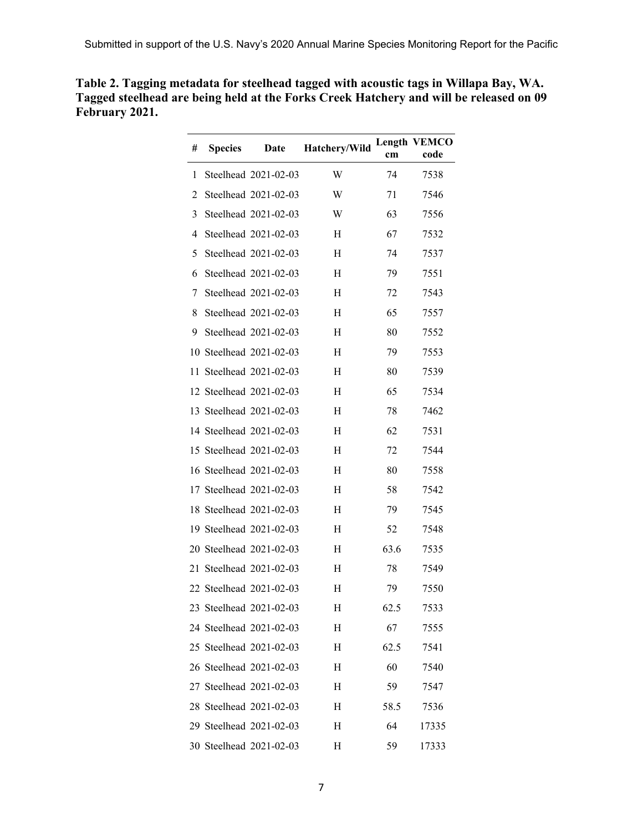| # | <b>Species</b> | Date                    | Hatchery/Wild | cm   | <b>Length VEMCO</b><br>code |
|---|----------------|-------------------------|---------------|------|-----------------------------|
| 1 |                | Steelhead 2021-02-03    | W             | 74   | 7538                        |
| 2 |                | Steelhead 2021-02-03    | W             | 71   | 7546                        |
| 3 |                | Steelhead 2021-02-03    | W             | 63   | 7556                        |
| 4 |                | Steelhead 2021-02-03    | H             | 67   | 7532                        |
| 5 |                | Steelhead 2021-02-03    | H             | 74   | 7537                        |
| 6 |                | Steelhead 2021-02-03    | Η             | 79   | 7551                        |
| 7 |                | Steelhead 2021-02-03    | H             | 72   | 7543                        |
| 8 |                | Steelhead 2021-02-03    | H             | 65   | 7557                        |
| 9 |                | Steelhead 2021-02-03    | Η             | 80   | 7552                        |
|   |                | 10 Steelhead 2021-02-03 | Η             | 79   | 7553                        |
|   |                | 11 Steelhead 2021-02-03 | Η             | 80   | 7539                        |
|   |                | 12 Steelhead 2021-02-03 | H             | 65   | 7534                        |
|   |                | 13 Steelhead 2021-02-03 | H             | 78   | 7462                        |
|   |                | 14 Steelhead 2021-02-03 | Η             | 62   | 7531                        |
|   |                | 15 Steelhead 2021-02-03 | H             | 72   | 7544                        |
|   |                | 16 Steelhead 2021-02-03 | Η             | 80   | 7558                        |
|   |                | 17 Steelhead 2021-02-03 | Η             | 58   | 7542                        |
|   |                | 18 Steelhead 2021-02-03 | Η             | 79   | 7545                        |
|   |                | 19 Steelhead 2021-02-03 | Η             | 52   | 7548                        |
|   |                | 20 Steelhead 2021-02-03 | H             | 63.6 | 7535                        |
|   |                | 21 Steelhead 2021-02-03 | Η             | 78   | 7549                        |
|   |                | 22 Steelhead 2021-02-03 | Η             | 79   | 7550                        |
|   |                | 23 Steelhead 2021-02-03 | н             | 62.5 | 7533                        |
|   |                | 24 Steelhead 2021-02-03 | Η             | 67   | 7555                        |
|   |                | 25 Steelhead 2021-02-03 | Η             | 62.5 | 7541                        |
|   |                | 26 Steelhead 2021-02-03 | Η             | 60   | 7540                        |
|   |                | 27 Steelhead 2021-02-03 | Н             | 59   | 7547                        |
|   |                | 28 Steelhead 2021-02-03 | H             | 58.5 | 7536                        |
|   |                | 29 Steelhead 2021-02-03 | Н             | 64   | 17335                       |
|   |                | 30 Steelhead 2021-02-03 | H             | 59   | 17333                       |

**Table 2. Tagging metadata for steelhead tagged with acoustic tags in Willapa Bay, WA. Tagged steelhead are being held at the Forks Creek Hatchery and will be released on 09 February 2021.**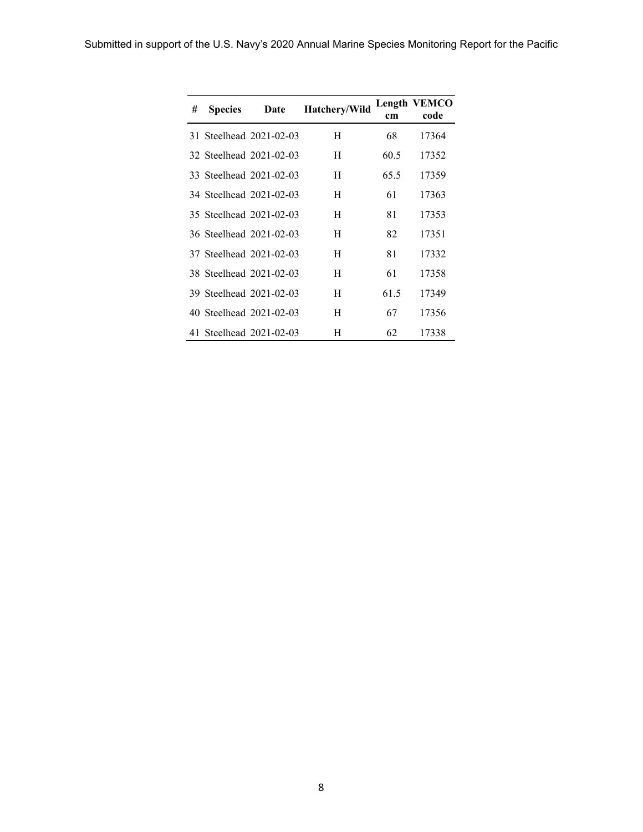| # | <b>Species</b> | Date                    | Hatchery/Wild | cm   | Length VEMCO<br>code |
|---|----------------|-------------------------|---------------|------|----------------------|
|   |                | 31 Steelhead 2021-02-03 | H             | 68   | 17364                |
|   |                | 32 Steelhead 2021-02-03 | H             | 60.5 | 17352                |
|   |                | 33 Steelhead 2021-02-03 | H             | 65.5 | 17359                |
|   |                | 34 Steelhead 2021-02-03 | H             | 61   | 17363                |
|   |                | 35 Steelhead 2021-02-03 | H             | 81   | 17353                |
|   |                | 36 Steelhead 2021-02-03 | H             | 82   | 17351                |
|   |                | 37 Steelhead 2021-02-03 | H             | 81   | 17332                |
|   |                | 38 Steelhead 2021-02-03 | H             | 61   | 17358                |
|   |                | 39 Steelhead 2021-02-03 | H             | 61.5 | 17349                |
|   |                | 40 Steelhead 2021-02-03 | H             | 67   | 17356                |
|   |                | 41 Steelhead 2021-02-03 | H             | 62   | 17338                |